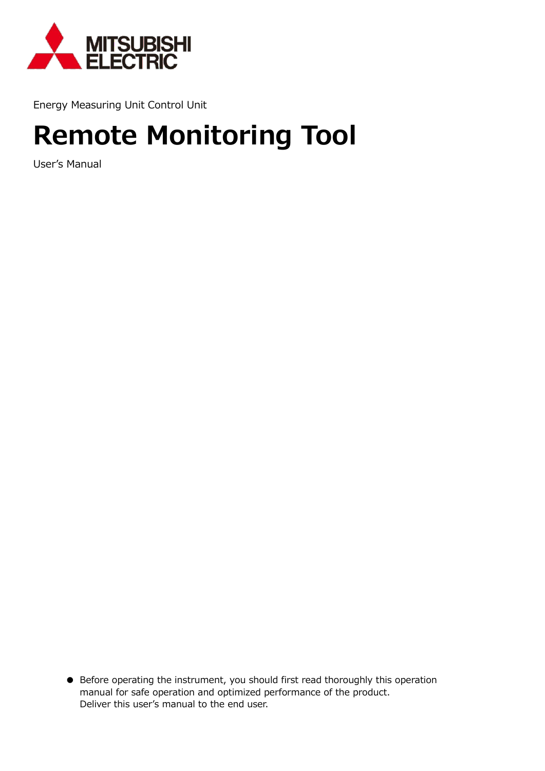

Energy Measuring Unit Control Unit

# **Remote Monitoring Tool**

User's Manual

● Before operating the instrument, you should first read thoroughly this operation manual for safe operation and optimized performance of the product. Deliver this user's manual to the end user.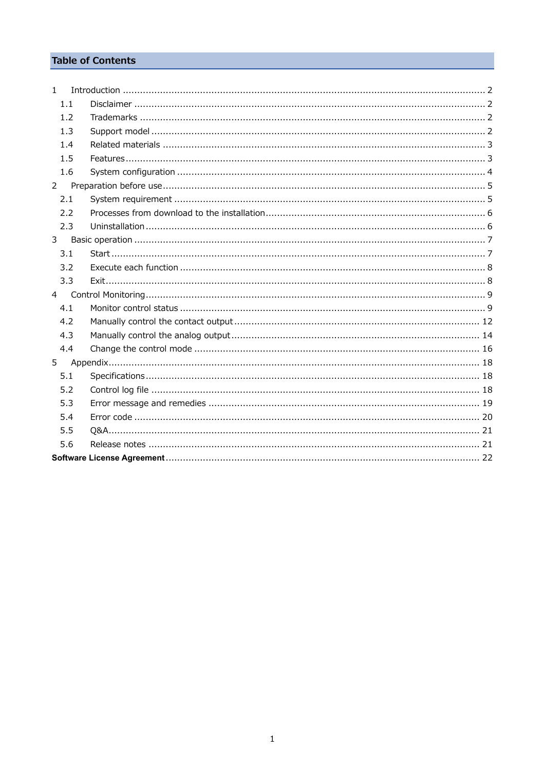### **Table of Contents**

| $\mathbf{1}$   |  |
|----------------|--|
| 1.1            |  |
| 1.2            |  |
| 1.3            |  |
| 1.4            |  |
| 1.5            |  |
| 1.6            |  |
| $\overline{2}$ |  |
| 2.1            |  |
| 2.2            |  |
| 2.3            |  |
| 3              |  |
| 3.1            |  |
| 3.2            |  |
| 3.3            |  |
| $\overline{4}$ |  |
| 4.1            |  |
| 4.2            |  |
| 4.3            |  |
| 4.4            |  |
| 5              |  |
| 5.1            |  |
| 5.2            |  |
| 5.3            |  |
| 5.4            |  |
| 5.5            |  |
| 5.6            |  |
|                |  |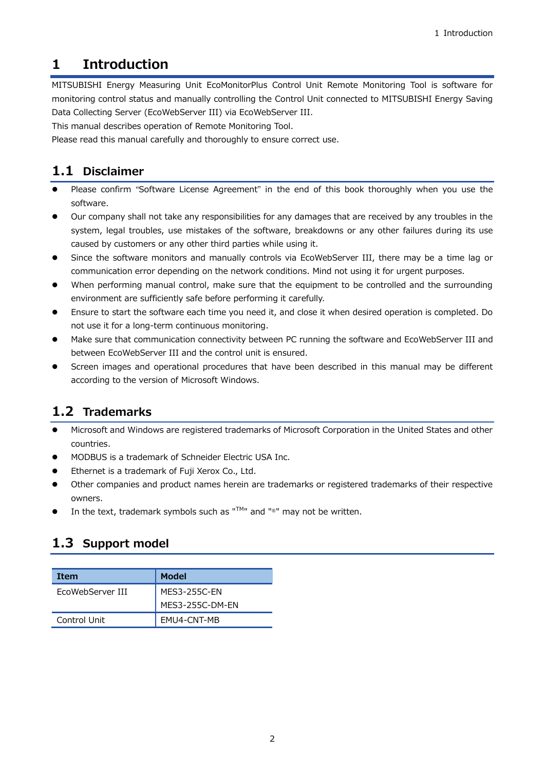### <span id="page-2-0"></span>**1 Introduction**

MITSUBISHI Energy Measuring Unit EcoMonitorPlus Control Unit Remote Monitoring Tool is software for monitoring control status and manually controlling the Control Unit connected to MITSUBISHI Energy Saving Data Collecting Server (EcoWebServer III) via EcoWebServer III.

This manual describes operation of Remote Monitoring Tool.

Please read this manual carefully and thoroughly to ensure correct use.

#### <span id="page-2-1"></span>**1.1 Disclaimer**

- ⚫ Please confirm "Software License Agreement" in the end of this book thoroughly when you use the software.
- ⚫ Our company shall not take any responsibilities for any damages that are received by any troubles in the system, legal troubles, use mistakes of the software, breakdowns or any other failures during its use caused by customers or any other third parties while using it.
- Since the software monitors and manually controls via EcoWebServer III, there may be a time lag or communication error depending on the network conditions. Mind not using it for urgent purposes.
- ⚫ When performing manual control, make sure that the equipment to be controlled and the surrounding environment are sufficiently safe before performing it carefully.
- Ensure to start the software each time you need it, and close it when desired operation is completed. Do not use it for a long-term continuous monitoring.
- ⚫ Make sure that communication connectivity between PC running the software and EcoWebServer III and between EcoWebServer III and the control unit is ensured.
- Screen images and operational procedures that have been described in this manual may be different according to the version of Microsoft Windows.

#### <span id="page-2-2"></span>**1.2 Trademarks**

- ⚫ Microsoft and Windows are registered trademarks of Microsoft Corporation in the United States and other countries.
- ⚫ MODBUS is a trademark of Schneider Electric USA Inc.
- ⚫ Ethernet is a trademark of Fuji Xerox Co., Ltd.
- ⚫ Other companies and product names herein are trademarks or registered trademarks of their respective owners.
- In the text, trademark symbols such as " $M$ " and " $\omega$ " may not be written.

### <span id="page-2-3"></span>**1.3 Support model**

| Item             | <b>Model</b>    |
|------------------|-----------------|
| EcoWebServer III | MES3-255C-EN    |
|                  | MES3-255C-DM-EN |
| Control Unit     | EMU4-CNT-MB     |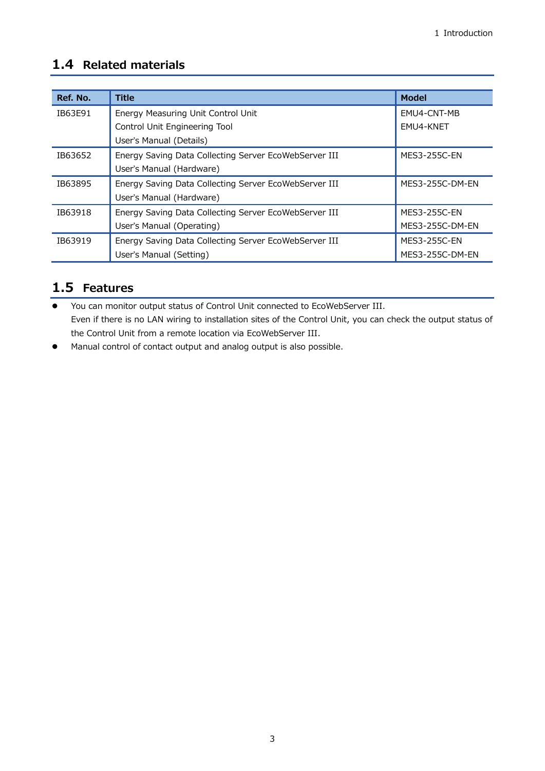#### <span id="page-3-0"></span>**1.4 Related materials**

| Ref. No. | <b>Title</b>                                          | <b>Model</b>    |
|----------|-------------------------------------------------------|-----------------|
| IB63E91  | Energy Measuring Unit Control Unit                    | EMU4-CNT-MB     |
|          | Control Unit Engineering Tool                         | EMU4-KNET       |
|          | User's Manual (Details)                               |                 |
| IB63652  | Energy Saving Data Collecting Server EcoWebServer III | MES3-255C-EN    |
|          | User's Manual (Hardware)                              |                 |
| IB63895  | Energy Saving Data Collecting Server EcoWebServer III | MES3-255C-DM-EN |
|          | User's Manual (Hardware)                              |                 |
| IB63918  | Energy Saving Data Collecting Server EcoWebServer III | MES3-255C-EN    |
|          | User's Manual (Operating)                             | MES3-255C-DM-EN |
| IB63919  | Energy Saving Data Collecting Server EcoWebServer III | MES3-255C-EN    |
|          | User's Manual (Setting)                               | MES3-255C-DM-EN |

#### <span id="page-3-1"></span>**1.5 Features**

● You can monitor output status of Control Unit connected to EcoWebServer III. Even if there is no LAN wiring to installation sites of the Control Unit, you can check the output status of the Control Unit from a remote location via EcoWebServer III.

⚫ Manual control of contact output and analog output is also possible.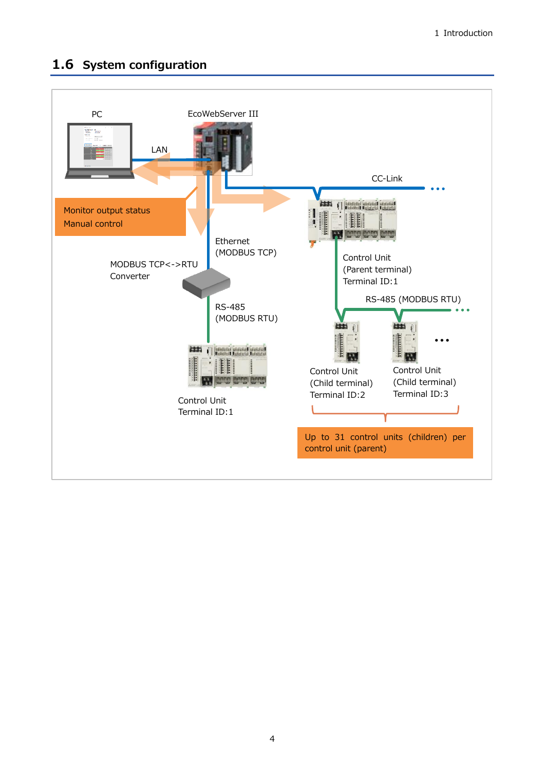#### <span id="page-4-0"></span>**1.6 System configuration**

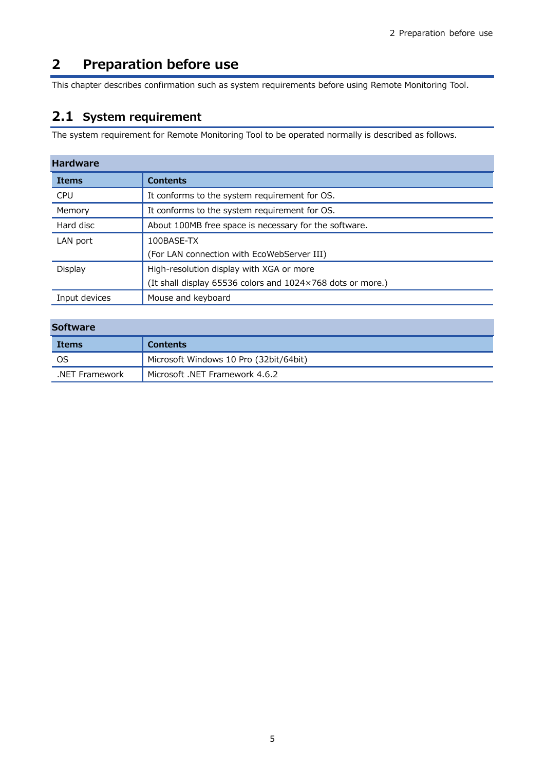### <span id="page-5-0"></span>**2 Preparation before use**

This chapter describes confirmation such as system requirements before using Remote Monitoring Tool.

### <span id="page-5-1"></span>**2.1 System requirement**

The system requirement for Remote Monitoring Tool to be operated normally is described as follows.

| <b>Hardware</b> |                                                            |  |  |  |  |
|-----------------|------------------------------------------------------------|--|--|--|--|
| <b>Items</b>    | <b>Contents</b>                                            |  |  |  |  |
| <b>CPU</b>      | It conforms to the system requirement for OS.              |  |  |  |  |
| Memory          | It conforms to the system requirement for OS.              |  |  |  |  |
| Hard disc       | About 100MB free space is necessary for the software.      |  |  |  |  |
| LAN port        | 100BASE-TX                                                 |  |  |  |  |
|                 | (For LAN connection with EcoWebServer III)                 |  |  |  |  |
| Display         | High-resolution display with XGA or more                   |  |  |  |  |
|                 | (It shall display 65536 colors and 1024×768 dots or more.) |  |  |  |  |
| Input devices   | Mouse and keyboard                                         |  |  |  |  |

| <b>Software</b> |                                        |  |  |  |  |
|-----------------|----------------------------------------|--|--|--|--|
| <b>Items</b>    | <b>Contents</b>                        |  |  |  |  |
| OS.             | Microsoft Windows 10 Pro (32bit/64bit) |  |  |  |  |
| NET Framework   | Microsoft .NET Framework 4.6.2         |  |  |  |  |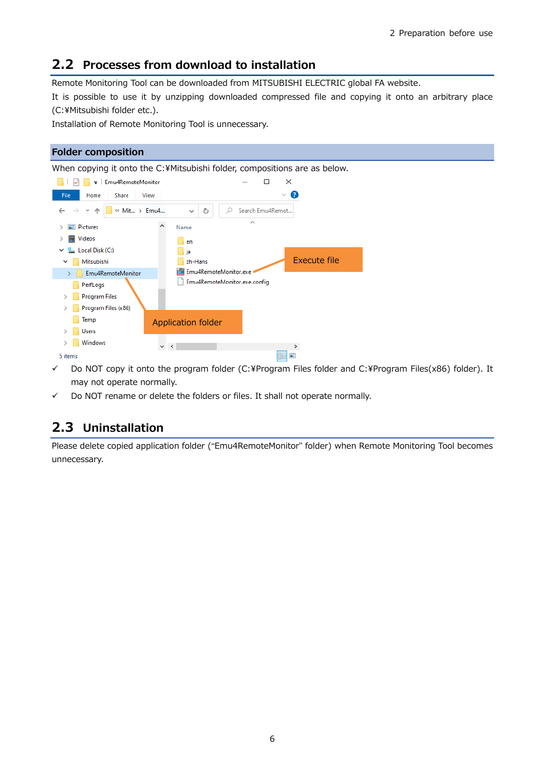### <span id="page-6-0"></span>**2.2 Processes from download to installation**

Remote Monitoring Tool can be downloaded from MITSUBISHI ELECTRIC global FA website.

It is possible to use it by unzipping downloaded compressed file and copying it onto an arbitrary place (C:¥Mitsubishi folder etc.).

Installation of Remote Monitoring Tool is unnecessary.

#### **Folder composition** When copying it onto the C:\Mitsubishi folder, compositions are as below.  $\Box$  $\times$  $\vee$  3 Home Share View  $\sim$  个  $\sqrt{\phantom{a}}$  « Mit... > Emu4... Ō C Search Emu4Remot..  $\leftarrow$   $\rightarrow$  $\checkmark$  $\lambda$  $\angle$   $\equiv$  Pictures Name  $> 2$  Videos  $\Box$  en  $\vee$  : Local Disk (C:) | ja Execute file $\vee$  Mitsubishi zh-Hans > Emu4RemoteMonitor Emu4RemoteMonitor.exe Emu4RemoteMonitor.exe.config PerfLogs > Program Files > Program Files (x86)  $\Box$  Temp Application folder  $>$  Users  $\angle$  Windows  $\vee$   $\prec$  $\rightarrow$ EE 5 items

- $\checkmark$  Do NOT copy it onto the program folder (C:\Program Files folder and C:\Program Files(x86) folder). It may not operate normally.
- ✓ Do NOT rename or delete the folders or files. It shall not operate normally.

### <span id="page-6-1"></span>**2.3 Uninstallation**

Please delete copied application folder ("Emu4RemoteMonitor" folder) when Remote Monitoring Tool becomes unnecessary.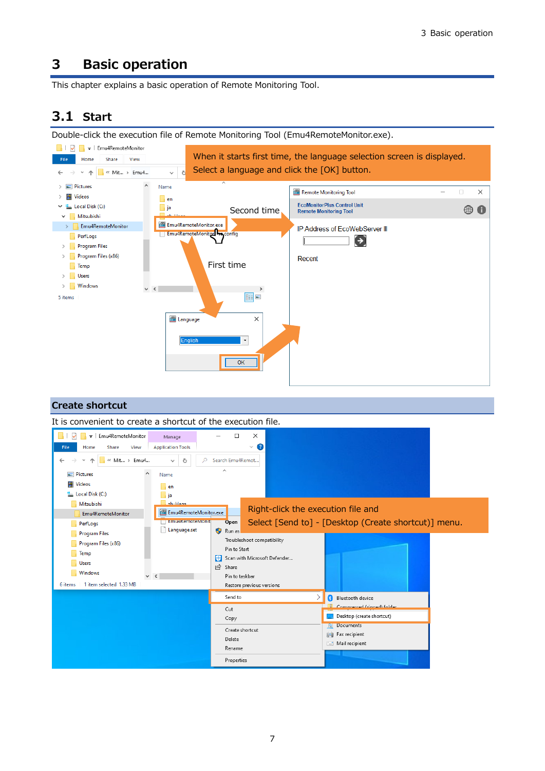### <span id="page-7-0"></span>**3 Basic operation**

This chapter explains a basic operation of Remote Monitoring Tool.

### <span id="page-7-1"></span>**3.1 Start**

Double-click the execution file of Remote Monitoring Tool (Emu4RemoteMonitor.exe).



#### **Create shortcut**

It is convenient to create a shortcut of the execution file.

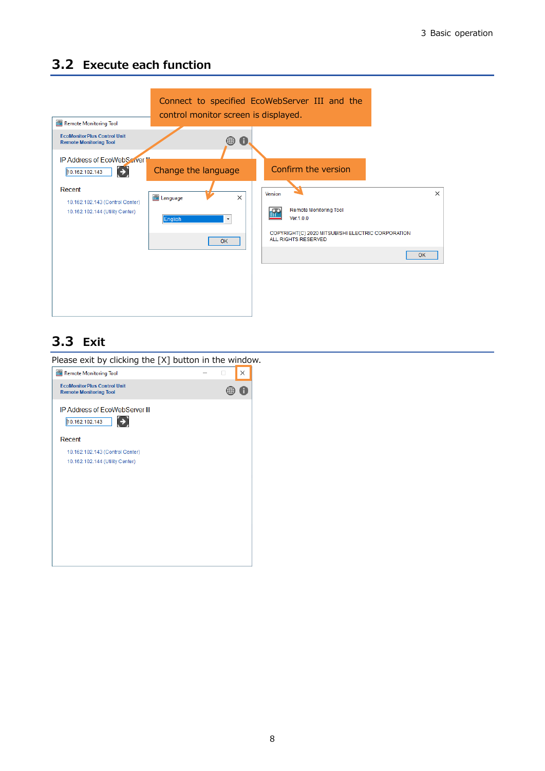#### <span id="page-8-0"></span>**3.2 Execute each function**



### <span id="page-8-1"></span>**3.3 Exit**

Please exit by clicking the [X] button in the window.

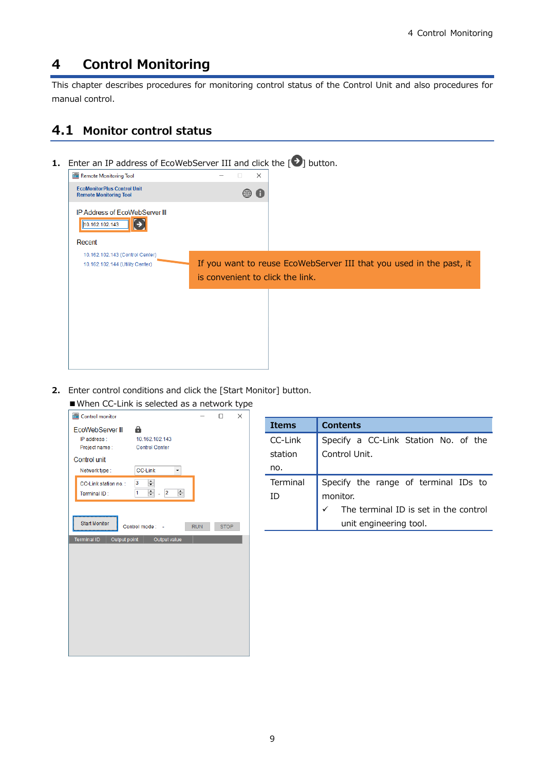### <span id="page-9-0"></span>**4 Control Monitoring**

This chapter describes procedures for monitoring control status of the Control Unit and also procedures for manual control.

#### <span id="page-9-1"></span>**4.1 Monitor control status**

**1.** Enter an IP address of EcoWebServer III and click the  $\begin{bmatrix} \blacklozenge \end{bmatrix}$  button.



**2.** Enter control conditions and click the [Start Monitor] button.

■When CC-Link is selected as a network type



| <b>Items</b> | <b>Contents</b>                       |
|--------------|---------------------------------------|
| CC-Link      | Specify a CC-Link Station No. of the  |
| station      | Control Unit.                         |
| no.          |                                       |
| Terminal     | Specify the range of terminal IDs to  |
| ID           | monitor.                              |
|              | The terminal ID is set in the control |
|              | unit engineering tool.                |
|              |                                       |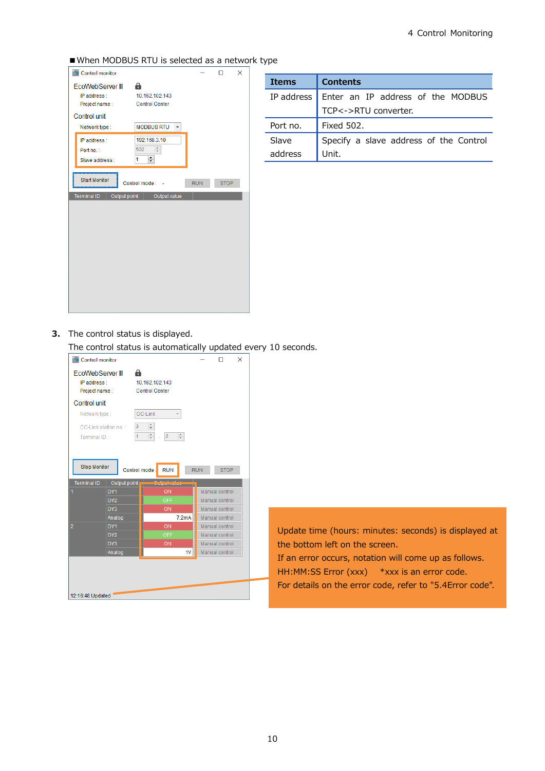■ When MODBUS RTU is selected as a network type

|                                                                      | Control monitor             |                        |  | п | × |  |  |
|----------------------------------------------------------------------|-----------------------------|------------------------|--|---|---|--|--|
|                                                                      | EcoWebServer III            | а                      |  |   |   |  |  |
|                                                                      | IP address :                | 10.162.102.143         |  |   |   |  |  |
|                                                                      | Project name :              | <b>Control Center</b>  |  |   |   |  |  |
|                                                                      | <b>Control unit</b>         |                        |  |   |   |  |  |
|                                                                      | Network type:               | <b>MODBUS RTU</b><br>٠ |  |   |   |  |  |
|                                                                      | IP address :                | 192.168.3.10           |  |   |   |  |  |
|                                                                      | Port no.:                   | $\div$<br>502          |  |   |   |  |  |
|                                                                      | Slave address :             | $\div$<br>1            |  |   |   |  |  |
|                                                                      |                             |                        |  |   |   |  |  |
| <b>Start Monitor</b><br>Control mode: -<br><b>RUN</b><br><b>STOP</b> |                             |                        |  |   |   |  |  |
|                                                                      |                             |                        |  |   |   |  |  |
|                                                                      | Terminal ID<br>Output point | Output value           |  |   |   |  |  |
|                                                                      |                             |                        |  |   |   |  |  |
|                                                                      |                             |                        |  |   |   |  |  |
|                                                                      |                             |                        |  |   |   |  |  |
|                                                                      |                             |                        |  |   |   |  |  |
|                                                                      |                             |                        |  |   |   |  |  |
|                                                                      |                             |                        |  |   |   |  |  |
|                                                                      |                             |                        |  |   |   |  |  |
|                                                                      |                             |                        |  |   |   |  |  |
|                                                                      |                             |                        |  |   |   |  |  |
|                                                                      |                             |                        |  |   |   |  |  |

| <b>Items</b> | <b>Contents</b>                        |
|--------------|----------------------------------------|
| IP address   | Enter an IP address of the MODBUS      |
|              | TCP<->RTU converter.                   |
| Port no.     | <b>Fixed 502.</b>                      |
| Slave        | Specify a slave address of the Control |
| address      | Unit.                                  |

**3.** The control status is displayed.

The control status is automatically updated every 10 seconds.

| Control monitor      |                                 |                                                 |            | п              | × |
|----------------------|---------------------------------|-------------------------------------------------|------------|----------------|---|
| EcoWebServer III     | а                               |                                                 |            |                |   |
| IP address:          |                                 | 10.162.102.143                                  |            |                |   |
| Project name:        |                                 | <b>Control Center</b>                           |            |                |   |
| Control unit         |                                 |                                                 |            |                |   |
| Network type:        |                                 | <b>CC-Link</b>                                  |            |                |   |
| CC-Link station no.: | 3                               | $\frac{1}{\nu}$                                 |            |                |   |
| Terminal ID:         | 1                               | $\frac{1}{\tau}$<br>$\hat{=}$<br>$\overline{2}$ |            |                |   |
|                      |                                 |                                                 |            |                |   |
|                      |                                 |                                                 |            |                |   |
|                      |                                 |                                                 |            |                |   |
| <b>Stop Monitor</b>  |                                 | <b>RUN</b><br>Control mode:                     | <b>RUN</b> | <b>STOP</b>    |   |
| <b>Terminal ID</b>   |                                 |                                                 |            |                |   |
|                      | Output point<br>DY <sub>1</sub> | ON                                              |            | Manual control |   |
| 1                    | DY <sub>2</sub>                 | <b>OFF</b>                                      |            | Manual control |   |
|                      | DY3                             | ON                                              |            | Manual control |   |
|                      |                                 | 7.2 <sub>m</sub> A                              |            | Manual control |   |
| $\overline{2}$       | Analog<br>DY <sub>1</sub>       | ON                                              |            | Manual control |   |
|                      | DY <sub>2</sub>                 | <b>OFF</b>                                      |            | Manual control |   |
|                      | DY3                             | ON                                              |            | Manual control |   |
|                      |                                 | 1V                                              |            | Manual control |   |
|                      | Analog                          |                                                 |            |                |   |
|                      |                                 |                                                 |            |                |   |
|                      |                                 |                                                 |            |                |   |
|                      |                                 |                                                 |            |                |   |
|                      |                                 |                                                 |            |                |   |
| 12:16:48 Updated     |                                 |                                                 |            |                |   |

Update time (hours: minutes: seconds) is displayed at the bottom left on the screen. If an error occurs, notation will come up as follows. HH:MM:SS Error (xxx) \*xxx is an error code. For details on the error code, refer to ["5.4Error code"](#page-20-0).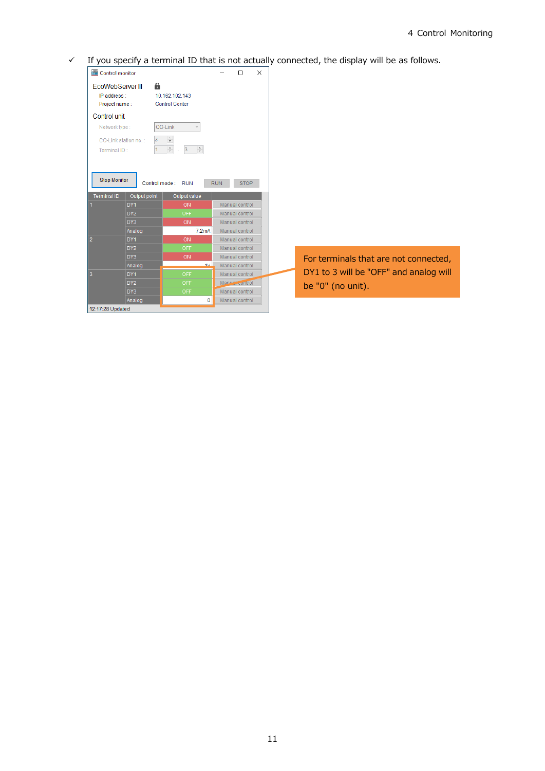$\checkmark$  If you specify a terminal ID that is not actually connected, the display will be as follows.

| Control monitor      |                 |                           |            | $\Box$         | X |
|----------------------|-----------------|---------------------------|------------|----------------|---|
| EcoWebServer III     | a               |                           |            |                |   |
| IP address:          |                 | 10.162.102.143            |            |                |   |
| Project name:        |                 | <b>Control Center</b>     |            |                |   |
| Control unit         |                 |                           |            |                |   |
|                      |                 |                           |            |                |   |
| Network type:        |                 | CC-Link                   |            |                |   |
| CC-Link station no.: |                 | ÷                         |            |                |   |
| Terminal ID:         |                 | $\div$<br>$3 \frac{4}{7}$ |            |                |   |
|                      |                 |                           |            |                |   |
|                      |                 |                           |            |                |   |
| <b>Stop Monitor</b>  |                 |                           |            |                |   |
|                      |                 | Control mode: RUN         | <b>RUN</b> | <b>STOP</b>    |   |
| <b>Terminal ID</b>   | Output point    | Output value              |            |                |   |
|                      | DY <sub>1</sub> | ON                        |            | Manual control |   |
|                      | DY <sub>2</sub> | <b>OFF</b>                |            | Manual control |   |
|                      | DY3             | ON                        |            | Manual control |   |
|                      | Analog          | 7.2mA                     |            | Manual control |   |
| $\overline{2}$       | DY <sub>1</sub> | ON                        |            | Manual control |   |
|                      | DY <sub>2</sub> | <b>OFF</b>                |            | Manual control |   |
|                      |                 |                           |            |                |   |
|                      | DY3             | ON                        |            | Manual control |   |
|                      | Analog          | 4M                        |            | Manual control |   |
| 3                    | DY <sub>1</sub> | <b>OFF</b>                |            | Manual control |   |
|                      | DY <sub>2</sub> | <b>OFF</b>                |            | Manuel control |   |
|                      | DY3             | <b>OFF</b>                |            | Manual control |   |
|                      | Analog          | 0                         |            | Manual control |   |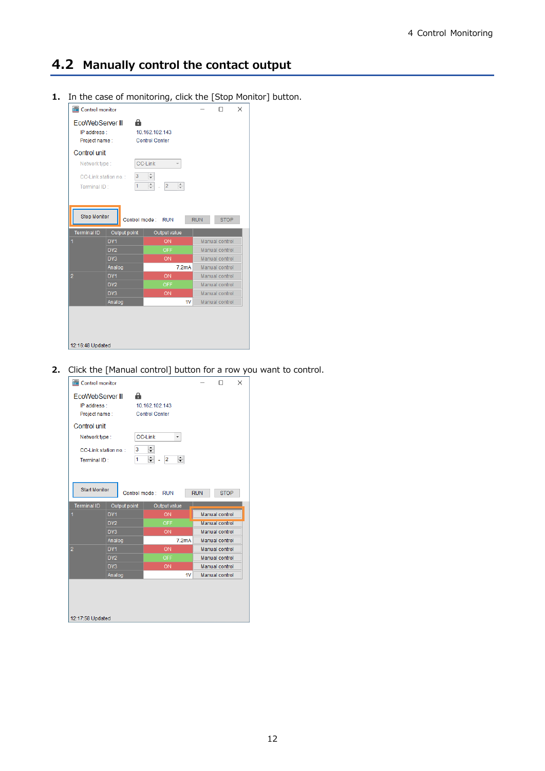#### <span id="page-12-0"></span>**4.2 Manually control the contact output**

**1.** In the case of monitoring, click the [Stop Monitor] button.



**2.** Click the [Manual control] button for a row you want to control.

| EcoWebServer III<br>A<br>IP address:<br>10.162.102.143<br><b>Control Center</b><br>Project name:<br>Control unit<br><b>CC-Link</b><br>Network type:<br>$\div$<br>3<br>CC-Link station no.:<br>$\div$<br>$\Rightarrow$<br>1<br>2<br>Terminal ID:<br><b>Start Monitor</b><br><b>RUN</b><br><b>STOP</b><br>Control mode: RUN<br><b>Terminal ID</b><br>Output point<br>Output value<br>Manual control<br>DY <sub>1</sub><br>ON<br>1<br>Manual control<br>DY <sub>2</sub><br><b>OFF</b><br>DY3<br>Manual control<br>ON<br>7.2 <sub>m</sub> A<br>Manual control<br>Analog<br>$\overline{a}$<br>DY <sub>1</sub><br>ON<br>Manual control<br>DY <sub>2</sub><br>Manual control<br><b>OFF</b><br>DY3<br>Manual control<br>ON<br>1V<br>Analog<br>Manual control<br>12:17:58 Updated | æ<br>Control monitor |  |  |  | п | × |  |  |
|--------------------------------------------------------------------------------------------------------------------------------------------------------------------------------------------------------------------------------------------------------------------------------------------------------------------------------------------------------------------------------------------------------------------------------------------------------------------------------------------------------------------------------------------------------------------------------------------------------------------------------------------------------------------------------------------------------------------------------------------------------------------------|----------------------|--|--|--|---|---|--|--|
|                                                                                                                                                                                                                                                                                                                                                                                                                                                                                                                                                                                                                                                                                                                                                                          |                      |  |  |  |   |   |  |  |
|                                                                                                                                                                                                                                                                                                                                                                                                                                                                                                                                                                                                                                                                                                                                                                          |                      |  |  |  |   |   |  |  |
|                                                                                                                                                                                                                                                                                                                                                                                                                                                                                                                                                                                                                                                                                                                                                                          |                      |  |  |  |   |   |  |  |
|                                                                                                                                                                                                                                                                                                                                                                                                                                                                                                                                                                                                                                                                                                                                                                          |                      |  |  |  |   |   |  |  |
|                                                                                                                                                                                                                                                                                                                                                                                                                                                                                                                                                                                                                                                                                                                                                                          |                      |  |  |  |   |   |  |  |
|                                                                                                                                                                                                                                                                                                                                                                                                                                                                                                                                                                                                                                                                                                                                                                          |                      |  |  |  |   |   |  |  |
|                                                                                                                                                                                                                                                                                                                                                                                                                                                                                                                                                                                                                                                                                                                                                                          |                      |  |  |  |   |   |  |  |
|                                                                                                                                                                                                                                                                                                                                                                                                                                                                                                                                                                                                                                                                                                                                                                          |                      |  |  |  |   |   |  |  |
|                                                                                                                                                                                                                                                                                                                                                                                                                                                                                                                                                                                                                                                                                                                                                                          |                      |  |  |  |   |   |  |  |
|                                                                                                                                                                                                                                                                                                                                                                                                                                                                                                                                                                                                                                                                                                                                                                          |                      |  |  |  |   |   |  |  |
|                                                                                                                                                                                                                                                                                                                                                                                                                                                                                                                                                                                                                                                                                                                                                                          |                      |  |  |  |   |   |  |  |
|                                                                                                                                                                                                                                                                                                                                                                                                                                                                                                                                                                                                                                                                                                                                                                          |                      |  |  |  |   |   |  |  |
|                                                                                                                                                                                                                                                                                                                                                                                                                                                                                                                                                                                                                                                                                                                                                                          |                      |  |  |  |   |   |  |  |
|                                                                                                                                                                                                                                                                                                                                                                                                                                                                                                                                                                                                                                                                                                                                                                          |                      |  |  |  |   |   |  |  |
|                                                                                                                                                                                                                                                                                                                                                                                                                                                                                                                                                                                                                                                                                                                                                                          |                      |  |  |  |   |   |  |  |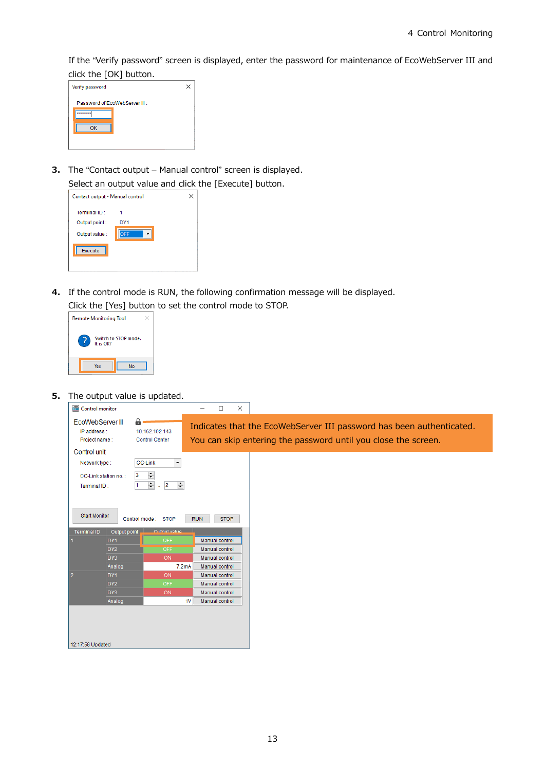If the "Verify password" screen is displayed, enter the password for maintenance of EcoWebServer III and click the [OK] button.

| Verify password               |  |
|-------------------------------|--|
| Password of EcoWebServer III: |  |
| *******                       |  |
|                               |  |
| OK                            |  |
|                               |  |
|                               |  |

**3.** The "Contact output – Manual control" screen is displayed. Select an output value and click the [Execute] button.

|                                 | Sciece an oacpac value and click |   |
|---------------------------------|----------------------------------|---|
| Contact output - Manual control |                                  | × |
| Terminal ID:                    |                                  |   |
| Output point:                   | DY <sub>1</sub>                  |   |
| Output value :                  | חחר                              |   |
| Execute                         |                                  |   |
|                                 |                                  |   |

**4.** If the control mode is RUN, the following confirmation message will be displayed.

Click the [Yes] button to set the control mode to STOP.



**5.** The output value is updated.

| 6<br>EcoWebServer III<br>Indicates that the EcoWebServer III password has been authenticated.<br>IP address :<br>10.162.102.143<br>You can skip entering the password until you close the screen.<br>Project name:<br><b>Control Center</b><br>Control unit<br><b>CC-Link</b><br>Network type :<br>$\blacktriangledown$<br>$\left  \div \right $<br>3<br>CC-Link station no.:<br>$\left  \div \right $ .<br>$\div$<br>$\overline{2}$<br>1<br>Terminal ID:<br><b>Start Monitor</b><br><b>STOP</b><br>Control mode: STOP<br><b>RUN</b><br><b>Terminal ID</b><br>Output point<br><b>Output value</b><br>DY <sub>1</sub><br>Manual control<br><b>OFF</b><br>DY <sub>2</sub><br>Manual control<br><b>OFF</b><br>DY3<br>ON<br>Manual control<br>Analog<br>7.2 <sub>m</sub> A<br>Manual control<br>DY <sub>1</sub><br>ON<br>$\overline{2}$<br>Manual control<br>DY <sub>2</sub><br><b>OFF</b><br>Manual control<br>DY3<br>ON<br>Manual control<br>1 <sub>V</sub><br>Manual control<br>Analog | æ<br>Control monitor |  | $\Box$ | $\times$ |
|---------------------------------------------------------------------------------------------------------------------------------------------------------------------------------------------------------------------------------------------------------------------------------------------------------------------------------------------------------------------------------------------------------------------------------------------------------------------------------------------------------------------------------------------------------------------------------------------------------------------------------------------------------------------------------------------------------------------------------------------------------------------------------------------------------------------------------------------------------------------------------------------------------------------------------------------------------------------------------------|----------------------|--|--------|----------|
|                                                                                                                                                                                                                                                                                                                                                                                                                                                                                                                                                                                                                                                                                                                                                                                                                                                                                                                                                                                       |                      |  |        |          |
|                                                                                                                                                                                                                                                                                                                                                                                                                                                                                                                                                                                                                                                                                                                                                                                                                                                                                                                                                                                       |                      |  |        |          |
|                                                                                                                                                                                                                                                                                                                                                                                                                                                                                                                                                                                                                                                                                                                                                                                                                                                                                                                                                                                       |                      |  |        |          |
|                                                                                                                                                                                                                                                                                                                                                                                                                                                                                                                                                                                                                                                                                                                                                                                                                                                                                                                                                                                       |                      |  |        |          |
|                                                                                                                                                                                                                                                                                                                                                                                                                                                                                                                                                                                                                                                                                                                                                                                                                                                                                                                                                                                       |                      |  |        |          |
|                                                                                                                                                                                                                                                                                                                                                                                                                                                                                                                                                                                                                                                                                                                                                                                                                                                                                                                                                                                       |                      |  |        |          |
|                                                                                                                                                                                                                                                                                                                                                                                                                                                                                                                                                                                                                                                                                                                                                                                                                                                                                                                                                                                       |                      |  |        |          |
|                                                                                                                                                                                                                                                                                                                                                                                                                                                                                                                                                                                                                                                                                                                                                                                                                                                                                                                                                                                       |                      |  |        |          |
|                                                                                                                                                                                                                                                                                                                                                                                                                                                                                                                                                                                                                                                                                                                                                                                                                                                                                                                                                                                       |                      |  |        |          |
|                                                                                                                                                                                                                                                                                                                                                                                                                                                                                                                                                                                                                                                                                                                                                                                                                                                                                                                                                                                       |                      |  |        |          |
|                                                                                                                                                                                                                                                                                                                                                                                                                                                                                                                                                                                                                                                                                                                                                                                                                                                                                                                                                                                       |                      |  |        |          |
|                                                                                                                                                                                                                                                                                                                                                                                                                                                                                                                                                                                                                                                                                                                                                                                                                                                                                                                                                                                       |                      |  |        |          |
|                                                                                                                                                                                                                                                                                                                                                                                                                                                                                                                                                                                                                                                                                                                                                                                                                                                                                                                                                                                       |                      |  |        |          |
|                                                                                                                                                                                                                                                                                                                                                                                                                                                                                                                                                                                                                                                                                                                                                                                                                                                                                                                                                                                       |                      |  |        |          |
|                                                                                                                                                                                                                                                                                                                                                                                                                                                                                                                                                                                                                                                                                                                                                                                                                                                                                                                                                                                       |                      |  |        |          |
|                                                                                                                                                                                                                                                                                                                                                                                                                                                                                                                                                                                                                                                                                                                                                                                                                                                                                                                                                                                       |                      |  |        |          |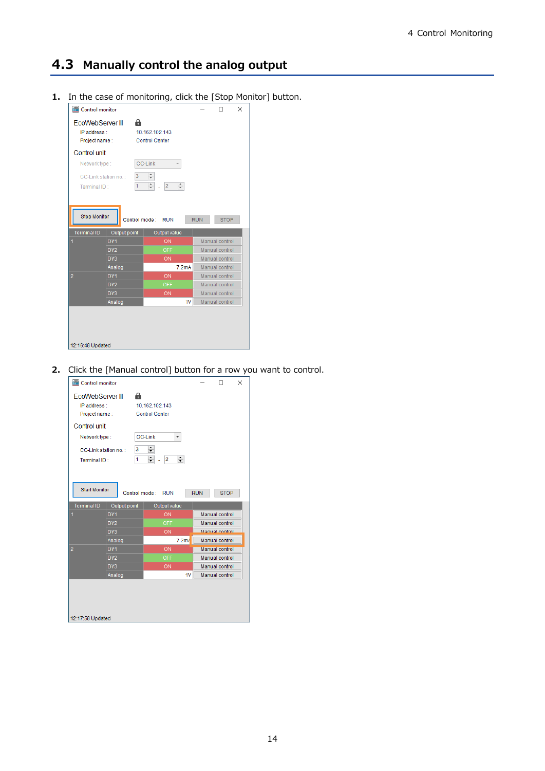#### <span id="page-14-0"></span>**4.3 Manually control the analog output**

**1.** In the case of monitoring, click the [Stop Monitor] button.



**2.** Click the [Manual control] button for a row you want to control.

| æ<br>Control monitor                             |                 |                                              |                  |            | □                     | × |
|--------------------------------------------------|-----------------|----------------------------------------------|------------------|------------|-----------------------|---|
| EcoWebServer III<br>IP address:<br>Project name: |                 | а<br>10.162.102.143<br><b>Control Center</b> |                  |            |                       |   |
| Control unit                                     |                 |                                              |                  |            |                       |   |
| Network type:                                    |                 | <b>CC-Link</b>                               |                  |            |                       |   |
| CC-Link station no.:<br>Terminal ID:             |                 | ÷۱<br>3<br>$\div$<br>1                       | 싂<br>2           |            |                       |   |
| <b>Start Monitor</b>                             |                 | Control mode: RUN                            |                  | <b>RUN</b> | <b>STOP</b>           |   |
| <b>Terminal ID</b>                               | Output point    |                                              | Output value     |            |                       |   |
| 1                                                | DY <sub>1</sub> |                                              | ON               |            | Manual control        |   |
|                                                  | DY <sub>2</sub> |                                              | <b>OFF</b>       |            | Manual control        |   |
|                                                  | DY3             |                                              | ON               |            | Manual control        |   |
|                                                  | Analog          |                                              | 7.2 <sub>m</sub> |            | Manual control        |   |
| $\overline{a}$                                   | DY <sub>1</sub> |                                              | ON               |            | <b>Manual control</b> |   |
|                                                  | DY <sub>2</sub> |                                              | <b>OFF</b>       |            | Manual control        |   |
|                                                  | DY3             |                                              | ON               |            | Manual control        |   |
|                                                  | Analog          |                                              |                  | 1V         | Manual control        |   |
| 12:17:58 Updated                                 |                 |                                              |                  |            |                       |   |
|                                                  |                 |                                              |                  |            |                       |   |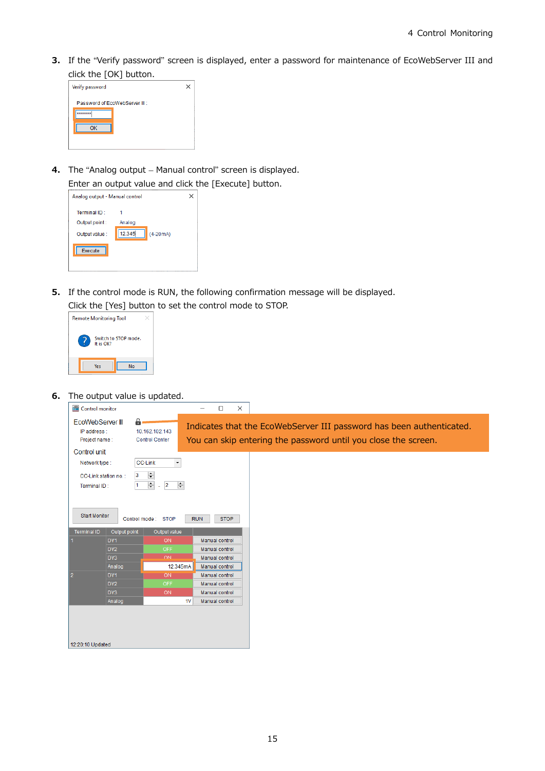**3.** If the "Verify password" screen is displayed, enter a password for maintenance of EcoWebServer III and click the [OK] button.

| $1.0011$ $1.0011$ $1.0011$ $1.0011$ |  |
|-------------------------------------|--|
| Verify password                     |  |
| Password of EcoWebServer III:       |  |
| *******                             |  |
| ΩK                                  |  |
|                                     |  |
|                                     |  |

**4.** The "Analog output – Manual control" screen is displayed. Enter an output value and click the [Execute] button.

| Analog output - Manual control |                      | × |
|--------------------------------|----------------------|---|
| Terminal ID:                   |                      |   |
| Output point:                  | Analog               |   |
| Output value :                 | 12.345<br>$(4-20mA)$ |   |
| Execute                        |                      |   |
|                                |                      |   |

**5.** If the control mode is RUN, the following confirmation message will be displayed.

Click the [Yes] button to set the control mode to STOP.



**6.** The output value is updated.

| 6<br>EcoWebServer III<br>Indicates that the EcoWebServer III password has been authenticated.<br>IP address :<br>10.162.102.143<br>You can skip entering the password until you close the screen.<br>Project name:<br><b>Control Center</b><br>Control unit<br><b>CC-Link</b><br>Network type :<br>$\blacktriangledown$<br>$\div$<br>3<br>CC-Link station no.:<br>$\left  \div \right $<br>$\div$ - 2<br>11<br>Terminal ID:<br><b>Start Monitor</b><br><b>STOP</b><br>Control mode: STOP<br><b>RUN</b> |
|--------------------------------------------------------------------------------------------------------------------------------------------------------------------------------------------------------------------------------------------------------------------------------------------------------------------------------------------------------------------------------------------------------------------------------------------------------------------------------------------------------|
|                                                                                                                                                                                                                                                                                                                                                                                                                                                                                                        |
|                                                                                                                                                                                                                                                                                                                                                                                                                                                                                                        |
|                                                                                                                                                                                                                                                                                                                                                                                                                                                                                                        |
|                                                                                                                                                                                                                                                                                                                                                                                                                                                                                                        |
| <b>Terminal ID</b><br>Output point<br>Output value                                                                                                                                                                                                                                                                                                                                                                                                                                                     |
| DY <sub>1</sub><br>ON<br>Manual control                                                                                                                                                                                                                                                                                                                                                                                                                                                                |
| DY <sub>2</sub><br><b>OFF</b><br>Manual control                                                                                                                                                                                                                                                                                                                                                                                                                                                        |
| DY3<br>ON.<br>Manual control                                                                                                                                                                                                                                                                                                                                                                                                                                                                           |
| 12.345mA<br>Analog<br>Manual control                                                                                                                                                                                                                                                                                                                                                                                                                                                                   |
| DY <sub>1</sub><br>ON<br>Manual control<br> 2                                                                                                                                                                                                                                                                                                                                                                                                                                                          |
| DY <sub>2</sub><br><b>OFF</b><br>Manual control                                                                                                                                                                                                                                                                                                                                                                                                                                                        |
| DY3<br>Manual control<br>ON                                                                                                                                                                                                                                                                                                                                                                                                                                                                            |
| 1V<br>Manual control<br>Analog                                                                                                                                                                                                                                                                                                                                                                                                                                                                         |
| 12:20:10 Updated                                                                                                                                                                                                                                                                                                                                                                                                                                                                                       |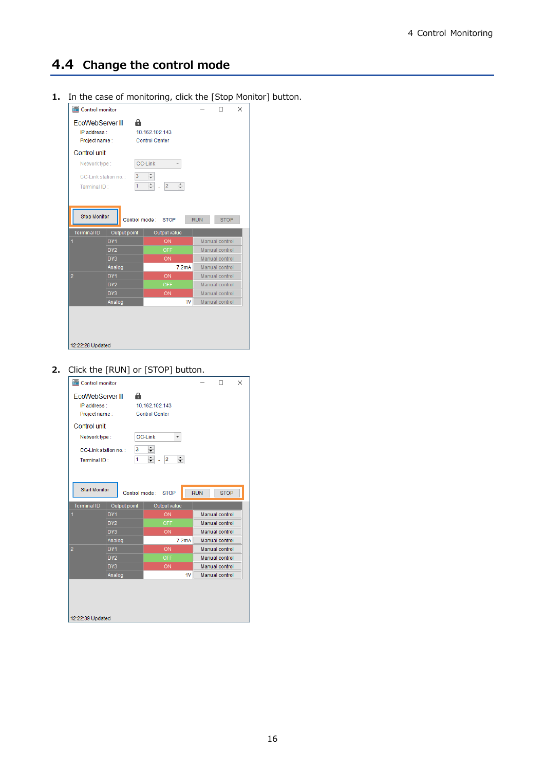### <span id="page-16-0"></span>**4.4 Change the control mode**

**1.** In the case of monitoring, click the [Stop Monitor] button.



#### **2.** Click the [RUN] or [STOP] button.

| m<br>Control monitor                                  |                 |                                         |            | п              | × |
|-------------------------------------------------------|-----------------|-----------------------------------------|------------|----------------|---|
| a<br>EcoWebServer III<br>IP address:<br>Project name: |                 | 10.162.102.143<br><b>Control Center</b> |            |                |   |
| Control unit                                          |                 |                                         |            |                |   |
| Network type:                                         |                 | <b>CC-Link</b><br>۰                     |            |                |   |
| CC-Link station no.:<br>Terminal ID:                  | 3<br>1          | $\div$<br>$\div$<br>$\div$<br>2         |            |                |   |
| <b>Start Monitor</b>                                  | Control mode:   | <b>STOP</b>                             | <b>RUN</b> | <b>STOP</b>    |   |
| <b>Terminal ID</b>                                    | Output point    | Output value                            |            |                |   |
| 1                                                     | DY <sub>1</sub> | ON                                      |            | Manual control |   |
| DY <sub>2</sub>                                       |                 | <b>OFF</b>                              |            | Manual control |   |
| DY3                                                   |                 | ON<br>7.2 <sub>m</sub> A                |            | Manual control |   |
|                                                       | Analog          |                                         |            | Manual control |   |
| $\overline{2}$                                        | DY <sub>1</sub> | ON                                      |            | Manual control |   |
|                                                       | DY <sub>2</sub> | <b>OFF</b>                              |            | Manual control |   |
| DY3                                                   |                 | ON                                      |            | Manual control |   |
| Analog                                                |                 | 1V                                      |            | Manual control |   |
| 12:22:39 Updated                                      |                 |                                         |            |                |   |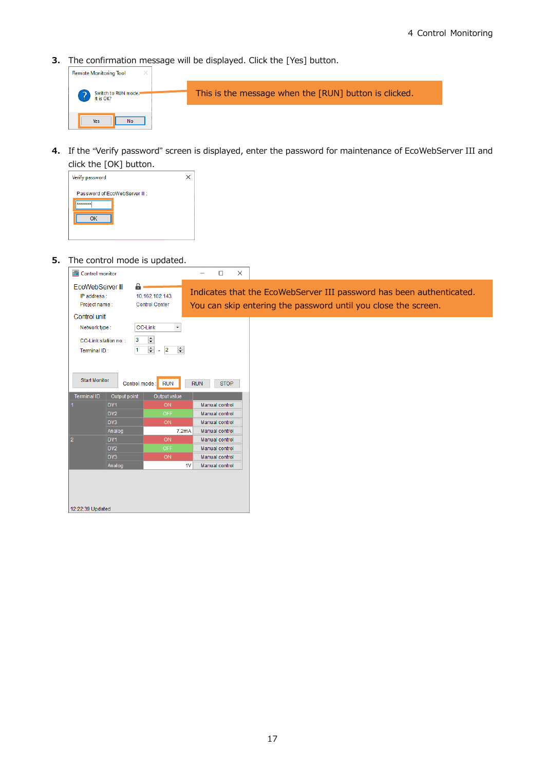**3.** The confirmation message will be displayed. Click the [Yes] button.

| <b>Remote Monitoring Tool</b>    |                                                       |
|----------------------------------|-------------------------------------------------------|
| Switch to RUN mode.<br>It is OK? | This is the message when the [RUN] button is clicked. |
| Yes<br><b>No</b>                 |                                                       |

**4.** If the "Verify password" screen is displayed, enter the password for maintenance of EcoWebServer III and click the [OK] button.

|                               | ∸ |  |
|-------------------------------|---|--|
| Verify password               |   |  |
| Password of EcoWebServer III: |   |  |
| *******                       |   |  |
| OK                            |   |  |
|                               |   |  |
|                               |   |  |

**5.** The control mode is updated.

| <b>PP</b><br>Control monitor                      |                 |                                                                            | □<br>$\times$             |                                                                                                                                        |
|---------------------------------------------------|-----------------|----------------------------------------------------------------------------|---------------------------|----------------------------------------------------------------------------------------------------------------------------------------|
| EcoWebServer III<br>IP address :<br>Project name: | £               | 10.162.102.143<br><b>Control Center</b>                                    |                           | Indicates that the EcoWebServer III password has been authenticated.<br>You can skip entering the password until you close the screen. |
| Control unit                                      |                 |                                                                            |                           |                                                                                                                                        |
| Network type:                                     |                 | <b>CC-Link</b><br>$\blacktriangledown$                                     |                           |                                                                                                                                        |
| CC-Link station no.:                              | 3               | $\div$                                                                     |                           |                                                                                                                                        |
| Terminal ID:                                      | 1               | $\left  \div \right $<br>$\left  \div \right $<br>$\overline{2}$<br>$\sim$ |                           |                                                                                                                                        |
|                                                   |                 |                                                                            |                           |                                                                                                                                        |
|                                                   |                 |                                                                            |                           |                                                                                                                                        |
| <b>Start Monitor</b>                              |                 | Control mode:<br><b>RUN</b>                                                | <b>RUN</b><br><b>STOP</b> |                                                                                                                                        |
| <b>Terminal ID</b>                                | Output point    | Output value                                                               |                           |                                                                                                                                        |
|                                                   | DY1             | <b>ON</b>                                                                  | Manual control            |                                                                                                                                        |
|                                                   | DY <sub>2</sub> | <b>OFF</b>                                                                 | Manual control            |                                                                                                                                        |
|                                                   | DY3             | <b>ON</b>                                                                  | Manual control            |                                                                                                                                        |
|                                                   | Analog          | 7.2mA                                                                      | Manual control            |                                                                                                                                        |
| 12                                                | DY <sub>1</sub> | ON                                                                         | Manual control            |                                                                                                                                        |
|                                                   | DY <sub>2</sub> | <b>OFF</b>                                                                 | Manual control            |                                                                                                                                        |
|                                                   | DY3             | ON                                                                         | Manual control            |                                                                                                                                        |
|                                                   | Analog          | 1V                                                                         | Manual control            |                                                                                                                                        |
|                                                   |                 |                                                                            |                           |                                                                                                                                        |
|                                                   |                 |                                                                            |                           |                                                                                                                                        |
|                                                   |                 |                                                                            |                           |                                                                                                                                        |
| 12:22:39 Updated                                  |                 |                                                                            |                           |                                                                                                                                        |
|                                                   |                 |                                                                            |                           |                                                                                                                                        |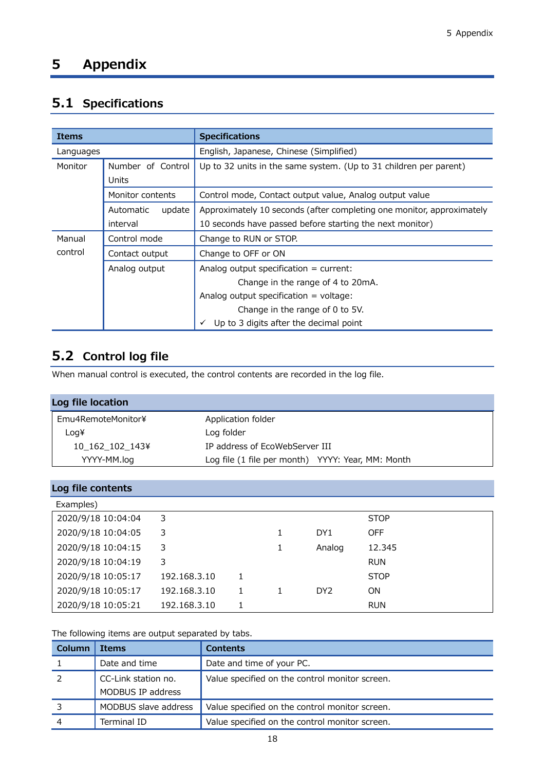### <span id="page-18-0"></span>**5 Appendix**

### <span id="page-18-1"></span>**5.1 Specifications**

| <b>Items</b> |                                 | <b>Specifications</b>                                                                                                             |
|--------------|---------------------------------|-----------------------------------------------------------------------------------------------------------------------------------|
| Languages    |                                 | English, Japanese, Chinese (Simplified)                                                                                           |
| Monitor      | Number of Control<br>Units      | Up to 32 units in the same system. (Up to 31 children per parent)                                                                 |
|              | Monitor contents                | Control mode, Contact output value, Analog output value                                                                           |
|              | update<br>Automatic<br>interval | Approximately 10 seconds (after completing one monitor, approximately<br>10 seconds have passed before starting the next monitor) |
| Manual       | Control mode                    | Change to RUN or STOP.                                                                                                            |
| control      | Contact output                  | Change to OFF or ON                                                                                                               |
|              | Analog output                   | Analog output specification = current:                                                                                            |
|              |                                 | Change in the range of 4 to 20mA.                                                                                                 |
|              |                                 | Analog output specification $=$ voltage:                                                                                          |
|              |                                 | Change in the range of 0 to 5V.                                                                                                   |
|              |                                 | Up to 3 digits after the decimal point                                                                                            |

#### <span id="page-18-2"></span>**5.2 Control log file**

When manual control is executed, the control contents are recorded in the log file.

| Log file location  |                                                   |
|--------------------|---------------------------------------------------|
| Emu4RemoteMonitor¥ | Application folder                                |
| Log¥               | Log folder                                        |
| 10 162 102 143¥    | IP address of EcoWebServer III                    |
| YYYY-MM.log        | Log file (1 file per month) YYYY: Year, MM: Month |

#### **Log file contents**

| Examples)          |              |  |                 |             |
|--------------------|--------------|--|-----------------|-------------|
| 2020/9/18 10:04:04 | 3            |  |                 | <b>STOP</b> |
| 2020/9/18 10:04:05 | 3            |  | DY <sub>1</sub> | <b>OFF</b>  |
| 2020/9/18 10:04:15 | 3            |  | Analog          | 12.345      |
| 2020/9/18 10:04:19 | 3            |  |                 | <b>RUN</b>  |
| 2020/9/18 10:05:17 | 192.168.3.10 |  |                 | <b>STOP</b> |
| 2020/9/18 10:05:17 | 192.168.3.10 |  | DY <sub>2</sub> | <b>ON</b>   |
| 2020/9/18 10:05:21 | 192.168.3.10 |  |                 | <b>RUN</b>  |

The following items are output separated by tabs.

| <b>Column</b> | <b>Items</b>         | <b>Contents</b>                                |
|---------------|----------------------|------------------------------------------------|
|               | Date and time        | Date and time of your PC.                      |
|               | CC-Link station no.  | Value specified on the control monitor screen. |
|               | MODBUS IP address    |                                                |
|               | MODBUS slave address | Value specified on the control monitor screen. |
|               | Terminal ID          | Value specified on the control monitor screen. |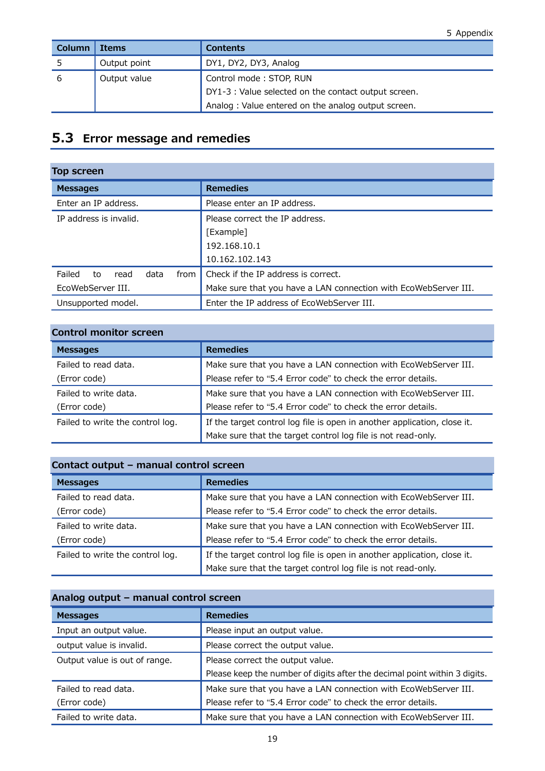| Column | <b>Items</b> | <b>Contents</b>                                      |
|--------|--------------|------------------------------------------------------|
|        | Output point | DY1, DY2, DY3, Analog                                |
| 6      | Output value | Control mode: STOP, RUN                              |
|        |              | DY1-3 : Value selected on the contact output screen. |
|        |              | Analog: Value entered on the analog output screen.   |

### <span id="page-19-0"></span>**5.3 Error message and remedies**

| Top screen                           |                                                                 |  |  |
|--------------------------------------|-----------------------------------------------------------------|--|--|
| <b>Messages</b>                      | <b>Remedies</b>                                                 |  |  |
| Enter an IP address.                 | Please enter an IP address.                                     |  |  |
| IP address is invalid.               | Please correct the IP address.                                  |  |  |
|                                      | [Example]                                                       |  |  |
|                                      | 192.168.10.1                                                    |  |  |
|                                      | 10.162.102.143                                                  |  |  |
| Failed<br>data<br>to<br>from<br>read | Check if the IP address is correct.                             |  |  |
| EcoWebServer III.                    | Make sure that you have a LAN connection with EcoWebServer III. |  |  |
| Unsupported model.                   | Enter the IP address of EcoWebServer III.                       |  |  |

| <b>Control monitor screen</b>    |                                                                          |  |
|----------------------------------|--------------------------------------------------------------------------|--|
| <b>Messages</b>                  | <b>Remedies</b>                                                          |  |
| Failed to read data.             | Make sure that you have a LAN connection with EcoWebServer III.          |  |
| (Error code)                     | Please refer to "5.4 Error code" to check the error details.             |  |
| Failed to write data.            | Make sure that you have a LAN connection with EcoWebServer III.          |  |
| (Error code)                     | Please refer to "5.4 Error code" to check the error details.             |  |
| Failed to write the control log. | If the target control log file is open in another application, close it. |  |
|                                  | Make sure that the target control log file is not read-only.             |  |

| Contact output - manual control screen |                                                                          |  |
|----------------------------------------|--------------------------------------------------------------------------|--|
| <b>Messages</b>                        | <b>Remedies</b>                                                          |  |
| Failed to read data.                   | Make sure that you have a LAN connection with EcoWebServer III.          |  |
| (Error code)                           | Please refer to "5.4 Error code" to check the error details.             |  |
| Failed to write data.                  | Make sure that you have a LAN connection with EcoWebServer III.          |  |
| (Error code)                           | Please refer to "5.4 Error code" to check the error details.             |  |
| Failed to write the control log.       | If the target control log file is open in another application, close it. |  |
|                                        | Make sure that the target control log file is not read-only.             |  |

| Analog output - manual control screen |                                                                           |  |
|---------------------------------------|---------------------------------------------------------------------------|--|
| <b>Messages</b>                       | <b>Remedies</b>                                                           |  |
| Input an output value.                | Please input an output value.                                             |  |
| output value is invalid.              | Please correct the output value.                                          |  |
| Output value is out of range.         | Please correct the output value.                                          |  |
|                                       | Please keep the number of digits after the decimal point within 3 digits. |  |
| Failed to read data.                  | Make sure that you have a LAN connection with EcoWebServer III.           |  |
| (Error code)                          | Please refer to "5.4 Error code" to check the error details.              |  |
| Failed to write data.                 | Make sure that you have a LAN connection with EcoWebServer III.           |  |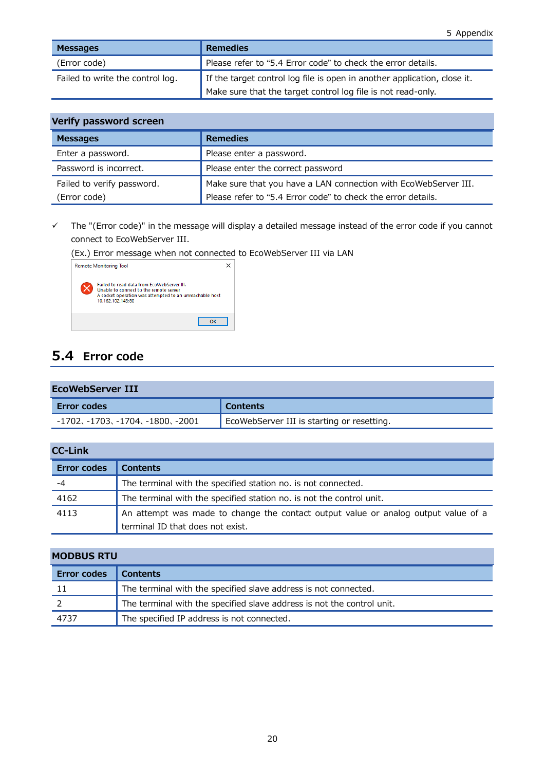| <b>Messages</b>                  | <b>Remedies</b>                                                          |
|----------------------------------|--------------------------------------------------------------------------|
| (Error code)                     | Please refer to "5.4 Error code" to check the error details.             |
| Failed to write the control log. | If the target control log file is open in another application, close it. |
|                                  | Make sure that the target control log file is not read-only.             |

#### **Verify password screen**

| <b>Messages</b>            | <b>Remedies</b>                                                 |
|----------------------------|-----------------------------------------------------------------|
| Enter a password.          | Please enter a password.                                        |
| Password is incorrect.     | Please enter the correct password                               |
| Failed to verify password. | Make sure that you have a LAN connection with EcoWebServer III. |
| (Error code)               | Please refer to "5.4 Error code" to check the error details.    |

✓ The "(Error code)" in the message will display a detailed message instead of the error code if you cannot connect to EcoWebServer III.

(Ex.) Error message when not connected to EcoWebServer III via LAN



### <span id="page-20-0"></span>**5.4 Error code**

#### **EcoWebServer III**

| <b>Error codes</b>            | Contents                                   |
|-------------------------------|--------------------------------------------|
| -1702、-1703、-1704、-1800、-2001 | EcoWebServer III is starting or resetting. |

#### **CC-Link**

| <b>Error codes</b> | <b>Contents</b>                                                                    |
|--------------------|------------------------------------------------------------------------------------|
| -4                 | The terminal with the specified station no. is not connected.                      |
| 4162               | The terminal with the specified station no. is not the control unit.               |
| 4113               | An attempt was made to change the contact output value or analog output value of a |
|                    | terminal ID that does not exist.                                                   |

### **MODBUS RTU**

| <b>Error codes</b> | <b>Contents</b>                                                        |
|--------------------|------------------------------------------------------------------------|
|                    | The terminal with the specified slave address is not connected.        |
|                    | The terminal with the specified slave address is not the control unit. |
| 4737               | The specified IP address is not connected.                             |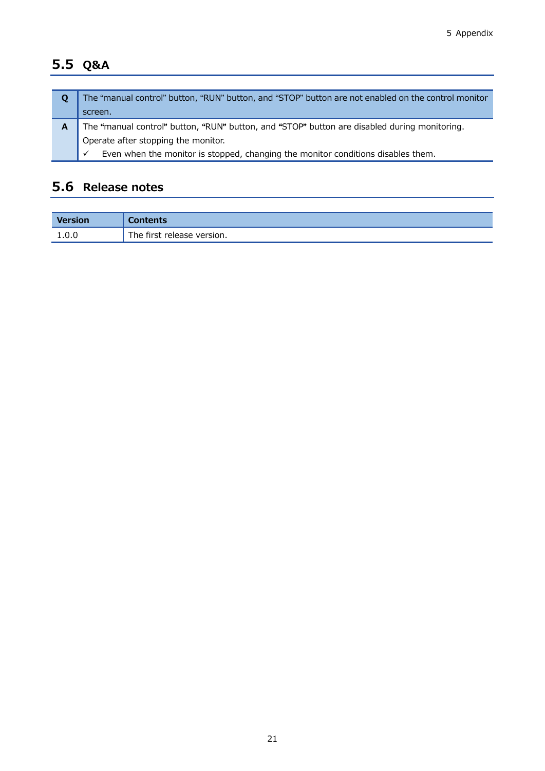### <span id="page-21-0"></span>**5.5 Q&A**

| O | The "manual control" button, "RUN" button, and "STOP" button are not enabled on the control monitor<br>screen. |  |  |  |
|---|----------------------------------------------------------------------------------------------------------------|--|--|--|
| A | The "manual control" button, "RUN" button, and "STOP" button are disabled during monitoring.                   |  |  |  |
|   | Operate after stopping the monitor.                                                                            |  |  |  |
|   | Even when the monitor is stopped, changing the monitor conditions disables them.<br>$\checkmark$               |  |  |  |

### <span id="page-21-1"></span>**5.6 Release notes**

| <b>Version</b> | Contents                   |
|----------------|----------------------------|
| 1.0.0          | The first release version. |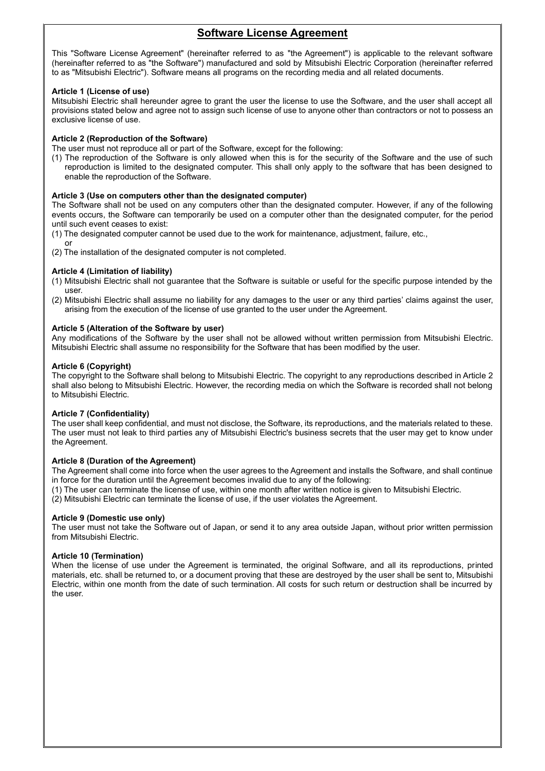#### **Software License Agreement**

<span id="page-22-0"></span>This "Software License Agreement" (hereinafter referred to as "the Agreement") is applicable to the relevant software (hereinafter referred to as "the Software") manufactured and sold by Mitsubishi Electric Corporation (hereinafter referred to as "Mitsubishi Electric"). Software means all programs on the recording media and all related documents.

#### **Article 1 (License of use)**

Mitsubishi Electric shall hereunder agree to grant the user the license to use the Software, and the user shall accept all provisions stated below and agree not to assign such license of use to anyone other than contractors or not to possess an exclusive license of use.

#### **Article 2 (Reproduction of the Software)**

The user must not reproduce all or part of the Software, except for the following:

(1) The reproduction of the Software is only allowed when this is for the security of the Software and the use of such reproduction is limited to the designated computer. This shall only apply to the software that has been designed to enable the reproduction of the Software.

#### **Article 3 (Use on computers other than the designated computer)**

The Software shall not be used on any computers other than the designated computer. However, if any of the following events occurs, the Software can temporarily be used on a computer other than the designated computer, for the period until such event ceases to exist:

- (1) The designated computer cannot be used due to the work for maintenance, adjustment, failure, etc.,
- or
- (2) The installation of the designated computer is not completed.

#### **Article 4 (Limitation of liability)**

- (1) Mitsubishi Electric shall not guarantee that the Software is suitable or useful for the specific purpose intended by the user.
- (2) Mitsubishi Electric shall assume no liability for any damages to the user or any third parties' claims against the user, arising from the execution of the license of use granted to the user under the Agreement.

#### **Article 5 (Alteration of the Software by user)**

Any modifications of the Software by the user shall not be allowed without written permission from Mitsubishi Electric. Mitsubishi Electric shall assume no responsibility for the Software that has been modified by the user.

#### **Article 6 (Copyright)**

The copyright to the Software shall belong to Mitsubishi Electric. The copyright to any reproductions described in Article 2 shall also belong to Mitsubishi Electric. However, the recording media on which the Software is recorded shall not belong to Mitsubishi Electric.

#### **Article 7 (Confidentiality)**

The user shall keep confidential, and must not disclose, the Software, its reproductions, and the materials related to these. The user must not leak to third parties any of Mitsubishi Electric's business secrets that the user may get to know under the Agreement.

#### **Article 8 (Duration of the Agreement)**

The Agreement shall come into force when the user agrees to the Agreement and installs the Software, and shall continue in force for the duration until the Agreement becomes invalid due to any of the following:

- (1) The user can terminate the license of use, within one month after written notice is given to Mitsubishi Electric.
- (2) Mitsubishi Electric can terminate the license of use, if the user violates the Agreement.

#### **Article 9 (Domestic use only)**

The user must not take the Software out of Japan, or send it to any area outside Japan, without prior written permission from Mitsubishi Electric.

#### **Article 10 (Termination)**

When the license of use under the Agreement is terminated, the original Software, and all its reproductions, printed materials, etc. shall be returned to, or a document proving that these are destroyed by the user shall be sent to, Mitsubishi Electric, within one month from the date of such termination. All costs for such return or destruction shall be incurred by the user.